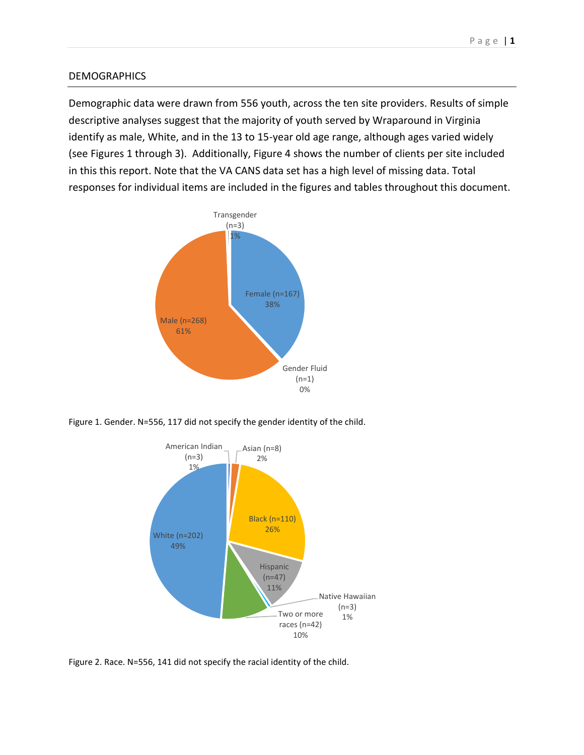## **DEMOGRAPHICS**

Demographic data were drawn from 556 youth, across the ten site providers. Results of simple descriptive analyses suggest that the majority of youth served by Wraparound in Virginia identify as male, White, and in the 13 to 15-year old age range, although ages varied widely (see Figures 1 through 3). Additionally, Figure 4 shows the number of clients per site included in this this report. Note that the VA CANS data set has a high level of missing data. Total responses for individual items are included in the figures and tables throughout this document.



Figure 1. Gender. N=556, 117 did not specify the gender identity of the child.



Figure 2. Race. N=556, 141 did not specify the racial identity of the child.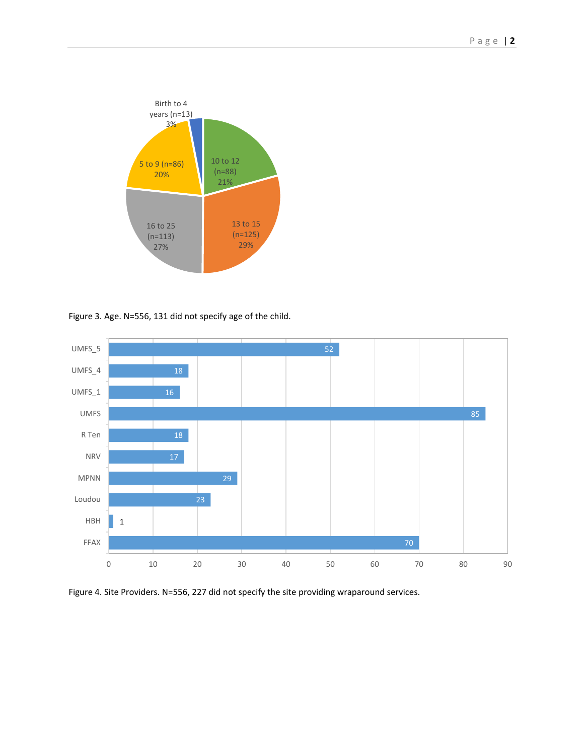

Figure 3. Age. N=556, 131 did not specify age of the child.



Figure 4. Site Providers. N=556, 227 did not specify the site providing wraparound services.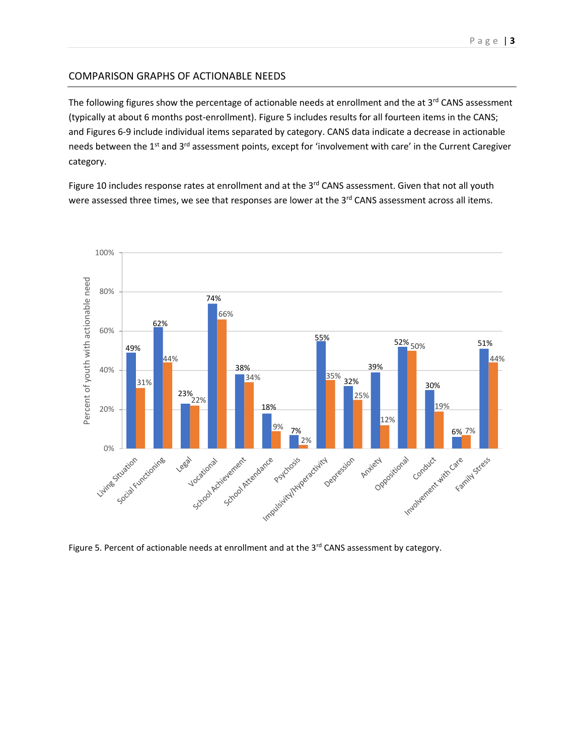## COMPARISON GRAPHS OF ACTIONABLE NEEDS

The following figures show the percentage of actionable needs at enrollment and the at  $3<sup>rd</sup>$  CANS assessment (typically at about 6 months post-enrollment). Figure 5 includes results for all fourteen items in the CANS; and Figures 6-9 include individual items separated by category. CANS data indicate a decrease in actionable needs between the 1<sup>st</sup> and 3<sup>rd</sup> assessment points, except for 'involvement with care' in the Current Caregiver category.

Figure 10 includes response rates at enrollment and at the 3<sup>rd</sup> CANS assessment. Given that not all youth were assessed three times, we see that responses are lower at the 3rd CANS assessment across all items.



Figure 5. Percent of actionable needs at enrollment and at the 3<sup>rd</sup> CANS assessment by category.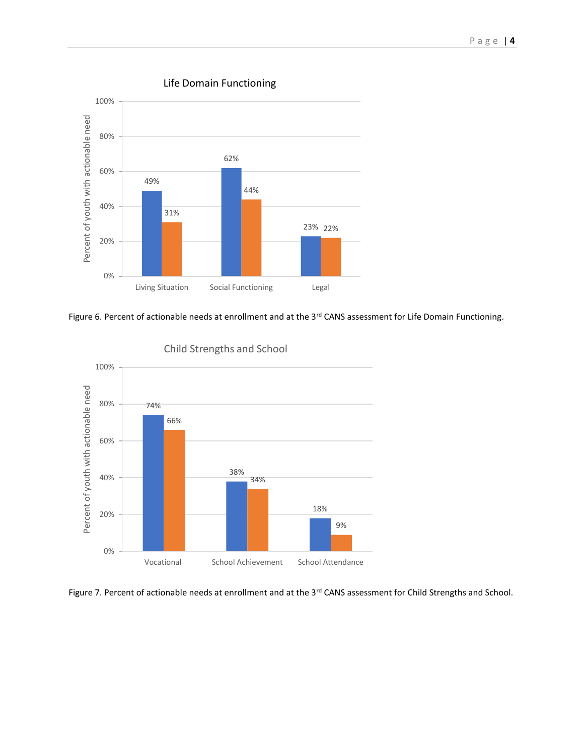

Life Domain Functioning





Child Strengths and School

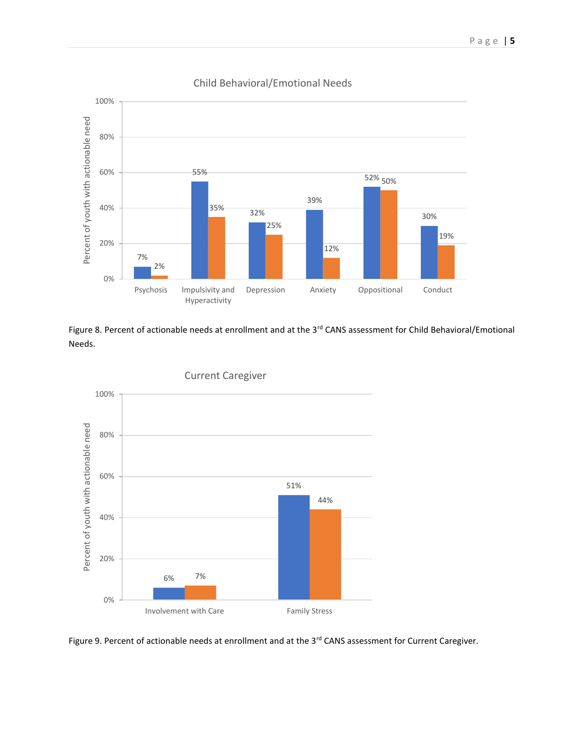

## Child Behavioral/Emotional Needs

Figure 8. Percent of actionable needs at enrollment and at the 3<sup>rd</sup> CANS assessment for Child Behavioral/Emotional Needs.



Current Caregiver